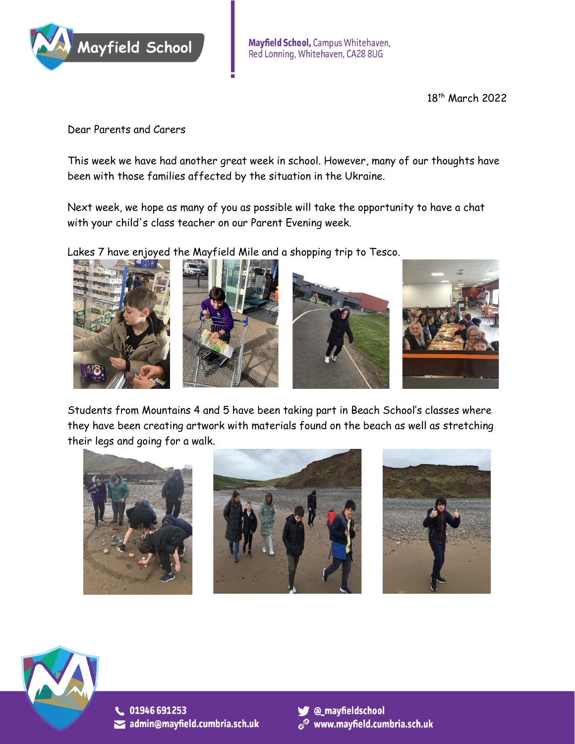

18 th March 2022

Dear Parents and Carers

This week we have had another great week in school. However, many of our thoughts have been with those families affected by the situation in the Ukraine.

Next week, we hope as many of you as possible will take the opportunity to have a chat with your child's class teacher on our Parent Evening week.

Lakes 7 have enjoyed the Mayfield Mile and a shopping trip to Tesco.









Students from Mountains 4 and 5 have been taking part in Beach School's classes where they have been creating artwork with materials found on the beach as well as stretching their legs and going for a walk.